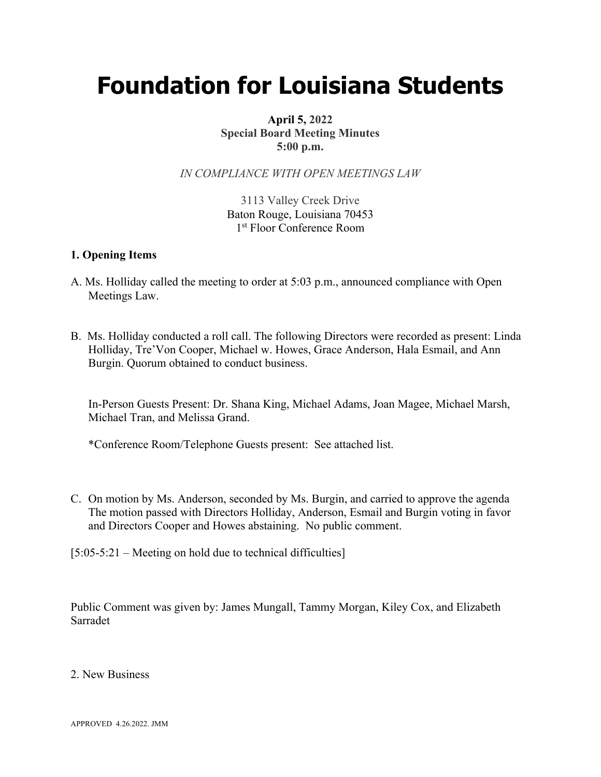## **Foundation for Louisiana Students**

**April 5, 2022 Special Board Meeting Minutes 5:00 p.m.**

*IN COMPLIANCE WITH OPEN MEETINGS LAW*

3113 Valley Creek Drive Baton Rouge, Louisiana 70453 1<sup>st</sup> Floor Conference Room

## **1. Opening Items**

- A. Ms. Holliday called the meeting to order at 5:03 p.m., announced compliance with Open Meetings Law.
- B. Ms. Holliday conducted a roll call. The following Directors were recorded as present: Linda Holliday, Tre'Von Cooper, Michael w. Howes, Grace Anderson, Hala Esmail, and Ann Burgin. Quorum obtained to conduct business.

In-Person Guests Present: Dr. Shana King, Michael Adams, Joan Magee, Michael Marsh, Michael Tran, and Melissa Grand.

\*Conference Room/Telephone Guests present: See attached list.

C. On motion by Ms. Anderson, seconded by Ms. Burgin, and carried to approve the agenda The motion passed with Directors Holliday, Anderson, Esmail and Burgin voting in favor and Directors Cooper and Howes abstaining. No public comment.

[5:05-5:21 – Meeting on hold due to technical difficulties]

Public Comment was given by: James Mungall, Tammy Morgan, Kiley Cox, and Elizabeth Sarradet

2. New Business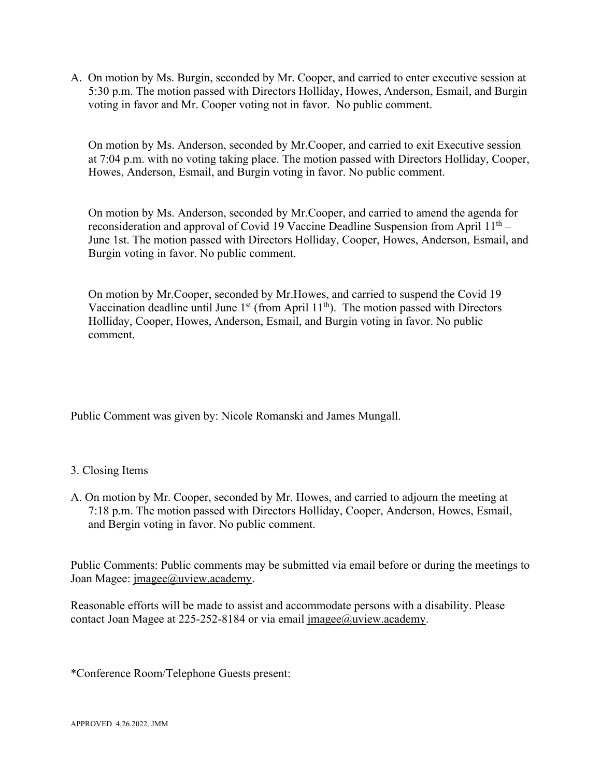A. On motion by Ms. Burgin, seconded by Mr. Cooper, and carried to enter executive session at 5:30 p.m. The motion passed with Directors Holliday, Howes, Anderson, Esmail, and Burgin voting in favor and Mr. Cooper voting not in favor. No public comment.

On motion by Ms. Anderson, seconded by Mr.Cooper, and carried to exit Executive session at 7:04 p.m. with no voting taking place. The motion passed with Directors Holliday, Cooper, Howes, Anderson, Esmail, and Burgin voting in favor. No public comment.

On motion by Ms. Anderson, seconded by Mr.Cooper, and carried to amend the agenda for reconsideration and approval of Covid 19 Vaccine Deadline Suspension from April  $11<sup>th</sup>$  – June 1st. The motion passed with Directors Holliday, Cooper, Howes, Anderson, Esmail, and Burgin voting in favor. No public comment.

On motion by Mr.Cooper, seconded by Mr.Howes, and carried to suspend the Covid 19 Vaccination deadline until June  $1<sup>st</sup>$  (from April 11<sup>th</sup>). The motion passed with Directors Holliday, Cooper, Howes, Anderson, Esmail, and Burgin voting in favor. No public comment.

Public Comment was given by: Nicole Romanski and James Mungall.

## 3. Closing Items

A. On motion by Mr. Cooper, seconded by Mr. Howes, and carried to adjourn the meeting at 7:18 p.m. The motion passed with Directors Holliday, Cooper, Anderson, Howes, Esmail, and Bergin voting in favor. No public comment.

Public Comments: Public comments may be submitted via email before or during the meetings to Joan Magee: imagee@uview.academy.

Reasonable efforts will be made to assist and accommodate persons with a disability. Please contact Joan Magee at 225-252-8184 or via email jmagee@uview.academy.

\*Conference Room/Telephone Guests present: